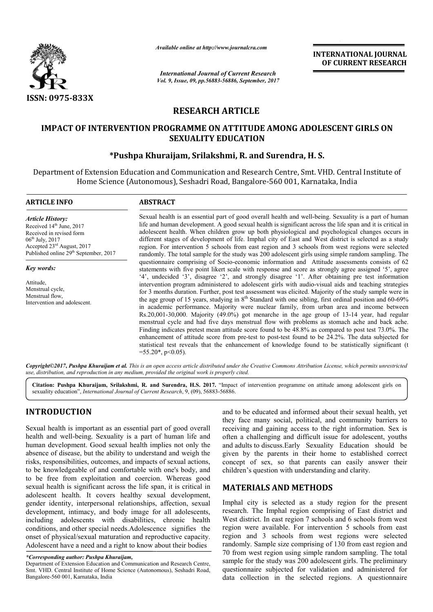

*Available online at http://www.journal http://www.journalcra.com*

# **RESEARCH ARTICLE**

## **IMPACT OF INTERVENTION PROGRAMME ON ATTITUDE AMONG ADOLESCENT GIRLS ON SEXUALITY EDUCATION**

## **\*Pushpa Khuraijam, Srilakshmi Srilakshmi, R. and Surendra, H. S.**

|                                                                                                                                                                                                                                                                                                                                                                                                                                                                                                                                                                                                                                                                                                                                                                              | л гипион опине иг нир.// www.journancra.com                                   |                                                                                                        | <b>INTERNATIONAL JOURNAL</b><br>OF CURRENT RESEARCH                                                                                                                                                                                                                                                                                                                                                                                                                                                                                                                                                                                                                                                                                                                                                                                                                                                                                                                                                                                                                                                                                                                                                                                                                        |
|------------------------------------------------------------------------------------------------------------------------------------------------------------------------------------------------------------------------------------------------------------------------------------------------------------------------------------------------------------------------------------------------------------------------------------------------------------------------------------------------------------------------------------------------------------------------------------------------------------------------------------------------------------------------------------------------------------------------------------------------------------------------------|-------------------------------------------------------------------------------|--------------------------------------------------------------------------------------------------------|----------------------------------------------------------------------------------------------------------------------------------------------------------------------------------------------------------------------------------------------------------------------------------------------------------------------------------------------------------------------------------------------------------------------------------------------------------------------------------------------------------------------------------------------------------------------------------------------------------------------------------------------------------------------------------------------------------------------------------------------------------------------------------------------------------------------------------------------------------------------------------------------------------------------------------------------------------------------------------------------------------------------------------------------------------------------------------------------------------------------------------------------------------------------------------------------------------------------------------------------------------------------------|
|                                                                                                                                                                                                                                                                                                                                                                                                                                                                                                                                                                                                                                                                                                                                                                              |                                                                               | <b>International Journal of Current Research</b><br>Vol. 9, Issue, 09, pp.56883-56886, September, 2017 |                                                                                                                                                                                                                                                                                                                                                                                                                                                                                                                                                                                                                                                                                                                                                                                                                                                                                                                                                                                                                                                                                                                                                                                                                                                                            |
| <b>ISSN: 0975-833X</b>                                                                                                                                                                                                                                                                                                                                                                                                                                                                                                                                                                                                                                                                                                                                                       |                                                                               |                                                                                                        |                                                                                                                                                                                                                                                                                                                                                                                                                                                                                                                                                                                                                                                                                                                                                                                                                                                                                                                                                                                                                                                                                                                                                                                                                                                                            |
|                                                                                                                                                                                                                                                                                                                                                                                                                                                                                                                                                                                                                                                                                                                                                                              |                                                                               | <b>RESEARCH ARTICLE</b>                                                                                |                                                                                                                                                                                                                                                                                                                                                                                                                                                                                                                                                                                                                                                                                                                                                                                                                                                                                                                                                                                                                                                                                                                                                                                                                                                                            |
|                                                                                                                                                                                                                                                                                                                                                                                                                                                                                                                                                                                                                                                                                                                                                                              |                                                                               | <b>SEXUALITY EDUCATION</b>                                                                             | <b>IMPACT OF INTERVENTION PROGRAMME ON ATTITUDE AMONG ADOLESCENT GIRLS ON</b>                                                                                                                                                                                                                                                                                                                                                                                                                                                                                                                                                                                                                                                                                                                                                                                                                                                                                                                                                                                                                                                                                                                                                                                              |
|                                                                                                                                                                                                                                                                                                                                                                                                                                                                                                                                                                                                                                                                                                                                                                              | *Pushpa Khuraijam, Srilakshmi, R. and Surendra, H. S.                         |                                                                                                        |                                                                                                                                                                                                                                                                                                                                                                                                                                                                                                                                                                                                                                                                                                                                                                                                                                                                                                                                                                                                                                                                                                                                                                                                                                                                            |
|                                                                                                                                                                                                                                                                                                                                                                                                                                                                                                                                                                                                                                                                                                                                                                              | Home Science (Autonomous), Seshadri Road, Bangalore-560 001, Karnataka, India |                                                                                                        | Department of Extension Education and Communication and Research Centre, Smt. VHD. Central Institute of                                                                                                                                                                                                                                                                                                                                                                                                                                                                                                                                                                                                                                                                                                                                                                                                                                                                                                                                                                                                                                                                                                                                                                    |
| <b>ARTICLE INFO</b>                                                                                                                                                                                                                                                                                                                                                                                                                                                                                                                                                                                                                                                                                                                                                          | <b>ABSTRACT</b>                                                               |                                                                                                        |                                                                                                                                                                                                                                                                                                                                                                                                                                                                                                                                                                                                                                                                                                                                                                                                                                                                                                                                                                                                                                                                                                                                                                                                                                                                            |
| <b>Article History:</b><br>Received 14th June, 2017<br>Received in revised form<br>06 <sup>th</sup> July, 2017<br>Accepted 23rd August, 2017<br>Published online 29 <sup>th</sup> September, 2017                                                                                                                                                                                                                                                                                                                                                                                                                                                                                                                                                                            |                                                                               |                                                                                                        | Sexual health is an essential part of good overall health and well-being. Sexuality is a part of human<br>life and human development. A good sexual health is significant across the life span and it is critical in<br>adolescent health. When children grow up both physiological and psychological changes occurs in<br>different stages of development of life. Imphal city of East and West district is selected as a study<br>region. For intervention 5 schools from east region and 3 schools from west regions were selected<br>randomly. The total sample for the study was 200 adolescent girls using simple random sampling. The                                                                                                                                                                                                                                                                                                                                                                                                                                                                                                                                                                                                                               |
| Key words:<br>Attitude,<br>Menstrual cycle,<br>Menstrual flow,<br>Intervention and adolescent.                                                                                                                                                                                                                                                                                                                                                                                                                                                                                                                                                                                                                                                                               | $=55.20$ *, p<0.05).                                                          |                                                                                                        | questionnaire comprising of Socio-economic information and Attitude assessments consists of 62<br>statements with five point likert scale with response and score as strongly agree assigned '5', agree<br>'4', undecided '3', disagree '2', and strongly disagree '1'. After obtaining pre test information<br>intervention program administered to adolescent girls with audio-visual aids and teaching strategies<br>for 3 months duration. Further, post test assessment was elicited. Majority of the study sample were in<br>the age group of 15 years, studying in 8 <sup>th</sup> Standard with one sibling, first ordinal position and 60-69%<br>in academic performance. Majority were nuclear family, from urban area and income between<br>$Rs.20,001-30,000$ . Majority (49.0%) got menarche in the age group of 13-14 year, had regular<br>menstrual cycle and had five days menstrual flow with problems as stomach ache and back ache.<br>Finding indicates pretest mean attitude score found to be 48.8% as compared to post test 73.0%. The<br>enhancement of attitude score from pre-test to post-test found to be 24.2%. The data subjected for<br>statistical test reveals that the enhancement of knowledge found to be statistically significant (t |
| use, distribution, and reproduction in any medium, provided the original work is properly cited.                                                                                                                                                                                                                                                                                                                                                                                                                                                                                                                                                                                                                                                                             |                                                                               |                                                                                                        | Copyright©2017, Pushpa Khuraijam et al. This is an open access article distributed under the Creative Commons Attribution License, which permits unrestricted                                                                                                                                                                                                                                                                                                                                                                                                                                                                                                                                                                                                                                                                                                                                                                                                                                                                                                                                                                                                                                                                                                              |
| sexuality education", International Journal of Current Research, 9, (09), 56883-56886.                                                                                                                                                                                                                                                                                                                                                                                                                                                                                                                                                                                                                                                                                       |                                                                               |                                                                                                        | Citation: Pushpa Khuraijam, Srilakshmi, R. and Surendra, H.S. 2017. "Impact of intervention programme on attitude among adolescent girls on                                                                                                                                                                                                                                                                                                                                                                                                                                                                                                                                                                                                                                                                                                                                                                                                                                                                                                                                                                                                                                                                                                                                |
| <b>INTRODUCTION</b><br>Sexual health is important as an essential part of good overall<br>health and well-being. Sexuality is a part of human life and<br>human development. Good sexual health implies not only the<br>absence of disease, but the ability to understand and weigh the<br>risks, responsibilities, outcomes, and impacts of sexual actions,<br>to be knowledgeable of and comfortable with one's body, and<br>to be free from exploitation and coercion. Whereas good                                                                                                                                                                                                                                                                                       |                                                                               |                                                                                                        | and to be educated and informed about their sexual health, yet<br>they face many social, political, and community barriers to<br>receiving and gaining access to the right information. Sex is<br>often a challenging and difficult issue for adolescent, youths<br>and adults to discuss. Early Sexuality Education should be<br>given by the parents in their home to established correct<br>concept of sex, so that parents can easily answer their<br>children's question with understanding and clarity.                                                                                                                                                                                                                                                                                                                                                                                                                                                                                                                                                                                                                                                                                                                                                              |
| sexual health is significant across the life span, it is critical in<br>adolescent health. It covers healthy sexual development,<br>gender identity, interpersonal relationships, affection, sexual<br>development, intimacy, and body image for all adolescents,<br>including adolescents with disabilities, chronic health<br>conditions, and other special needs. Adolescence signifies the<br>onset of physical/sexual maturation and reproductive capacity.<br>Adolescent have a need and a right to know about their bodies<br>*Corresponding author: Pushpa Khuraijam,<br>Department of Extension Education and Communication and Research Centre,<br>Smt. VHD. Central Institute of Home Science (Autonomous), Seshadri Road,<br>Bangalore-560 001, Karnataka, India |                                                                               | <b>MATERIALS AND METHODS</b>                                                                           | Imphal city is selected as a study region for the present<br>research. The Imphal region comprising of East district and<br>West district. In east region 7 schools and 6 schools from west<br>region were available. For intervention 5 schools from east<br>region and 3 schools from west regions were selected<br>randomly. Sample size comprising of 130 from east region and<br>70 from west region using simple random sampling. The total<br>sample for the study was 200 adolescent girls. The preliminary<br>questionnaire subjected for validation and administered for<br>data collection in the selected regions. A questionnaire                                                                                                                                                                                                                                                                                                                                                                                                                                                                                                                                                                                                                             |

# **INTRODUCTION**

#### **MATERIALS AND METHODS METHODS**

*<sup>\*</sup>Corresponding author: Pushpa Khuraijam,*

Department of Extension Education and Communication and Research Centre, Smt. VHD. Central Institute of Home Science (Autonomous), Seshadri Road, Bangalore-560 001, Karnataka, India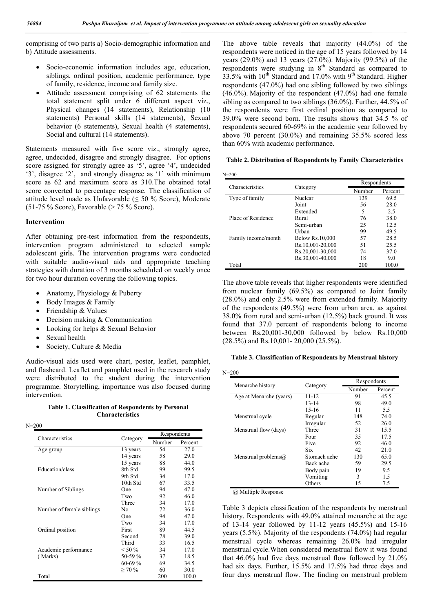comprising of two parts a) Socio-demographic information and b) Attitude assessments.

- Socio-economic information includes age, education, siblings, ordinal position, academic performance, type of family, residence, income and family size.
- Attitude assessment comprising of 62 statements the total statement split under 6 different aspect viz., Physical changes (14 statements), Relationship (10 statements) Personal skills (14 statements), Sexual behavior (6 statements), Sexual health (4 statements), Social and cultural (14 statements).

Statements measured with five score viz., strongly agree, agree, undecided, disagree and strongly disagree. For options score assigned for strongly agree as '5', agree '4', undecided '3', disagree '2', and strongly disagree as '1' with minimum score as 62 and maximum score as 310.The obtained total score converted to percentage response. The classification of attitude level made as Unfavorable ( $\leq 50$  % Score), Moderate (51-75 % Score), Favorable (> 75 % Score).

#### **Intervention**

After obtaining pre-test information from the respondents, intervention program administered to selected sample adolescent girls. The intervention programs were conducted with suitable audio-visual aids and appropriate teaching strategies with duration of 3 months scheduled on weekly once for two hour duration covering the following topics.

- Anatomy, Physiology & Puberty
- Body Images & Family
- Friendship & Values
- Decision making & Communication
- Looking for helps & Sexual Behavior
- Sexual health

N=200

Society, Culture & Media

Audio-visual aids used were chart, poster, leaflet, pamphlet, and flashcard. Leaflet and pamphlet used in the research study were distributed to the student during the intervention programme. Storytelling, importance was also focused during intervention.

**Table 1. Classification of Respondents by Personal Characteristics**

|                           |             | Respondents |         |
|---------------------------|-------------|-------------|---------|
| Characteristics           | Category    | Number      | Percent |
| Age group                 | 13 years    | 54          | 27.0    |
|                           | 14 years    | 58          | 29.0    |
|                           | 15 years    | 88          | 44.0    |
| Education/class           | 8th Std     | 99          | 99.5    |
|                           | 9th Std     | 34          | 17.0    |
|                           | 10th Std    | 67          | 33.5    |
| Number of Siblings        | One         | 94          | 47.0    |
|                           | Two         | 92          | 46.0    |
|                           | Three       | 34          | 17.0    |
| Number of female siblings | No          | 72          | 36.0    |
|                           | One         | 94          | 47.0    |
|                           | Two         | 34          | 17.0    |
| Ordinal position          | First       | 89          | 44.5    |
|                           | Second      | 78          | 39.0    |
|                           | Third       | 33          | 16.5    |
| Academic performance      | $< 50 \%$   | 34          | 17.0    |
| (Marks)                   | 50-59 %     | 37          | 18.5    |
|                           | $60-69%$    | 69          | 34.5    |
|                           | $\geq 70\%$ | 60          | 30.0    |
| Total                     |             | 200         | 100.0   |

The above table reveals that majority (44.0%) of the respondents were noticed in the age of 15 years followed by 14 years (29.0%) and 13 years (27.0%). Majority (99.5%) of the respondents were studying in 8<sup>th</sup> Standard as compared to  $33.5\%$  with  $10^{th}$  Standard and  $17.0\%$  with  $9^{th}$  Standard. Higher respondents (47.0%) had one sibling followed by two siblings (46.0%). Majority of the respondent (47.0%) had one female sibling as compared to two siblings (36.0%). Further, 44.5% of the respondents were first ordinal position as compared to 39.0% were second born. The results shows that 34.5 % of respondents secured 60-69% in the academic year followed by above 70 percent (30.0%) and remaining 35.5% scored less than 60% with academic performance.

**Table 2. Distribution of Respondents by Family Characteristics**

|                     |                  | Respondents |         |  |
|---------------------|------------------|-------------|---------|--|
| Characteristics     | Category         | Number      | Percent |  |
| Type of family      | Nuclear          | 139         | 69.5    |  |
|                     | Joint            | 56          | 28.0    |  |
|                     | Extended         | 5           | 2.5     |  |
| Place of Residence  | Rural            | 76          | 38.0    |  |
|                     | Semi-urban       | 25          | 12.5    |  |
|                     | Urban            | 99          | 49.5    |  |
| Family income/month | Below Rs.10,000  | 57          | 28.5    |  |
|                     | Rs.10,001-20,000 | 51          | 25.5    |  |
|                     | Rs.20,001-30,000 | 74          | 37.0    |  |
|                     | Rs.30,001-40,000 | 18          | 9.0     |  |
| Total               |                  | 200         | 100.0   |  |

The above table reveals that higher respondents were identified from nuclear family (69.5%) as compared to Joint family (28.0%) and only 2.5% were from extended family. Majority of the respondents (49.5%) were from urban area, as against 38.0% from rural and semi-urban (12.5%) back ground. It was found that 37.0 percent of respondents belong to income between Rs.20,001-30,000 followed by below Rs.10,000 (28.5%) and Rs.10,001- 20,000 (25.5%).

#### **Table 3. Classification of Respondents by Menstrual history**

|                             |              |        | Respondents |  |  |
|-----------------------------|--------------|--------|-------------|--|--|
| Menarche history            | Category     | Number | Percent     |  |  |
| Age at Menarche (years)     | $11 - 12$    | 91     | 45.5        |  |  |
|                             | $13 - 14$    | 98     | 49.0        |  |  |
|                             | $15-16$      | 11     | 5.5         |  |  |
| Menstrual cycle             | Regular      | 148    | 74.0        |  |  |
|                             | Irregular    | 52     | 26.0        |  |  |
| Menstrual flow (days)       | Three        | 31     | 15.5        |  |  |
|                             | Four         | 35     | 17.5        |  |  |
|                             | Five         | 92     | 46.0        |  |  |
|                             | Six          | 42     | 21.0        |  |  |
| Menstrual problems $\omega$ | Stomach ache | 130    | 65.0        |  |  |
|                             | Back ache    | 59     | 29.5        |  |  |
|                             | Body pain    | 19     | 9.5         |  |  |
|                             | Vomiting     | 3      | 1.5         |  |  |
|                             | Others       | 15     | 7.5         |  |  |

@ Multiple Response

Table 3 depicts classification of the respondents by menstrual history. Respondents with 49.0% attained menarche at the age of 13-14 year followed by 11-12 years (45.5%) and 15-16 years (5.5%). Majority of the respondents (74.0%) had regular menstrual cycle whereas remaining 26.0% had irregular menstrual cycle.When considered menstrual flow it was found that 46.0% had five days menstrual flow followed by 21.0% had six days. Further, 15.5% and 17.5% had three days and four days menstrual flow. The finding on menstrual problem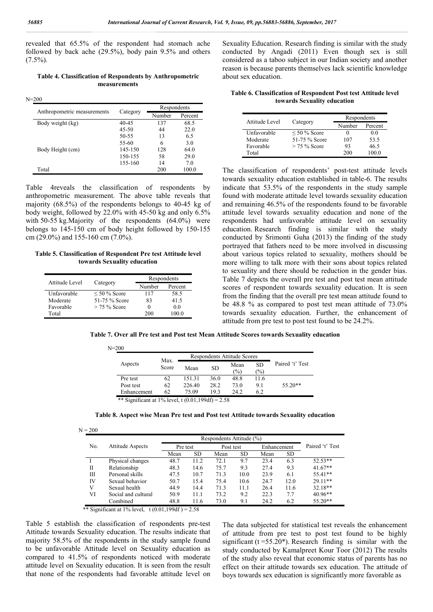revealed that 65.5% of the respondent had stomach ache followed by back ache (29.5%), body pain 9.5% and others  $(7.5\%)$ .

**Table 4. Classification of Respondents by Anthropometric measurements**

N=200

| Anthropometric measurements |           | Respondents |         |  |  |
|-----------------------------|-----------|-------------|---------|--|--|
|                             | Category  | Number      | Percent |  |  |
| Body weight (kg)            | 40-45     | 137         | 68.5    |  |  |
|                             | $45 - 50$ | 44          | 22.0    |  |  |
|                             | 50-55     | 13          | 6.5     |  |  |
|                             | 55-60     | 6           | 3.0     |  |  |
| Body Height (cm)            | 145-150   | 128         | 64.0    |  |  |
|                             | 150-155   | 58          | 29.0    |  |  |
|                             | 155-160   | 14          | 7.0     |  |  |
| Total                       |           | 200         | 100.0   |  |  |

Table 4reveals the classification of respondents by anthropometric measurement. The above table reveals that majority (68.5%) of the respondents belongs to 40-45 kg of body weight, followed by 22.0% with 45-50 kg and only 6.5% with 50-55 kg.Majority of the respondents (64.0%) were belongs to 145-150 cm of body height followed by 150-155 cm (29.0%) and 155-160 cm (7.0%).

**Table 5. Classification of Respondent Pre test Attitude level towards Sexuality education**

| Attitude Level |                   | Respondents |         |  |
|----------------|-------------------|-------------|---------|--|
|                | Category          | Number      | Percent |  |
| Unfavorable    | $\leq 50\%$ Score | 117         | 58.5    |  |
| Moderate       | 51-75 % Score     | 83          | 41.5    |  |
| Favorable      | $>$ 75 % Score    | 0           | 0.0     |  |
| Total          |                   | 200         |         |  |

Sexuality Education. Research finding is similar with the study conducted by Angadi (2011) Even though sex is still considered as a taboo subject in our Indian society and another reason is because parents themselves lack scientific knowledge about sex education.

**Table 6. Classification of Respondent Post test Attitude level towards Sexuality education**

| Attitude Level |                   | Respondents |         |  |  |
|----------------|-------------------|-------------|---------|--|--|
|                | Category          | Number      | Percent |  |  |
| Unfavorable    | $\leq 50\%$ Score |             | 00      |  |  |
| Moderate       | 51-75 % Score     | 107         | 53.5    |  |  |
| Favorable      | $>$ 75 % Score    | 93          | 46.5    |  |  |
| Total          |                   | 200         | 100 O   |  |  |

The classification of respondents' post-test attitude levels towards sexuality education established in table-6. The results indicate that 53.5% of the respondents in the study sample found with moderate attitude level towards sexuality education and remaining 46.5% of the respondents found to be favorable attitude level towards sexuality education and none of the respondents had unfavorable attitude level on sexuality education. Research finding is similar with the study conducted by Srimonti Guha (2013) the finding of the study portrayed that fathers need to be more involved in discussing about various topics related to sexuality, mothers should be more willing to talk more with their sons about topics related to sexuality and there should be reduction in the gender bias. Table 7 depicts the overall pre test and post test mean attitude scores of respondent towards sexuality education. It is seen from the finding that the overall pre test mean attitude found to be 48.8 % as compared to post test mean attitude of 73.0% towards sexuality education. Further, the enhancement of attitude from pre test to post test found to be 24.2%.

**Table 7. Over all Pre test and Post test Mean Attitude Scores towards Sexuality education**

|             |               |        |      | Respondents Attitude Scores |                  |                 |
|-------------|---------------|--------|------|-----------------------------|------------------|-----------------|
| Aspects     | Max.<br>Score | Mean   | SD   | Mean<br>$\frac{1}{2}$       | <b>SD</b><br>(%) | Paired 't' Test |
| Pre test    | 62            | 151.31 | 36.0 | 48.8                        | 11.6             |                 |
| Post test   | 62            | 226.40 | 28.2 | 73.0                        | 9.1              | $55.20**$       |
| Enhancement | 62            | 75.09  | 19.3 | 24.2                        | 6.2              |                 |

| Table 8. Aspect wise Mean Pre test and Post test Attitude towards Sexuality education |  |  |  |  |
|---------------------------------------------------------------------------------------|--|--|--|--|
|                                                                                       |  |  |  |  |

|     |                         | Respondents Attitude (%) |           |           |      |             |      |                 |
|-----|-------------------------|--------------------------|-----------|-----------|------|-------------|------|-----------------|
| No. | <b>Attitude Aspects</b> | Pre test                 |           | Post test |      | Enhancement |      | Paired 't' Test |
|     |                         | Mean                     | <b>SD</b> | Mean      | SD   | Mean        | SD.  |                 |
|     | Physical changes        | 48.7                     | 11.2      | 72.1      | 9.7  | 23.4        | 6.3  | $52.53**$       |
| Π   | Relationship            | 48.3                     | 14.6      | 75.7      | 9.3  | 27.4        | 9.3  | $41.67**$       |
| Ш   | Personal skills         | 47.5                     | 10.7      | 71.3      | 10.0 | 23.9        | 6.1  | $55.41**$       |
| IV  | Sexual behavior         | 50.7                     | 15.4      | 75.4      | 10.6 | 24.7        | 12.0 | $29.11**$       |
| V   | Sexual health           | 44.9                     | 14.4      | 71.3      | 11.1 | 26.4        | 11.6 | $32.18**$       |
| VI  | Social and cultural     | 50.9                     | 11.1      | 73.2      | 9.2  | 22.3        | 7.7  | $40.96**$       |
|     | Combined                | 48.8                     | 11.6      | 73.0      | 9.1  | 24.2        | 6.2  | $55.20**$       |

\*\* Significant at 1% level,  $t (0.01, 199df) = 2.58$ 

Table 5 establish the classification of respondents pre-test Attitude towards Sexuality education. The results indicate that majority 58.5% of the respondents in the study sample found to be unfavorable Attitude level on Sexuality education as compared to 41.5% of respondents noticed with moderate attitude level on Sexuality education. It is seen from the result that none of the respondents had favorable attitude level on

 $N = 200$ 

The data subjected for statistical test reveals the enhancement of attitude from pre test to post test found to be highly significant ( $t = 55.20$ <sup>\*</sup>). Research finding is similar with the study conducted by Kamalpreet Kour Toor (2012) The results of the study also reveal that economic status of parents has no effect on their attitude towards sex education. The attitude of boys towards sex education is significantly more favorable as